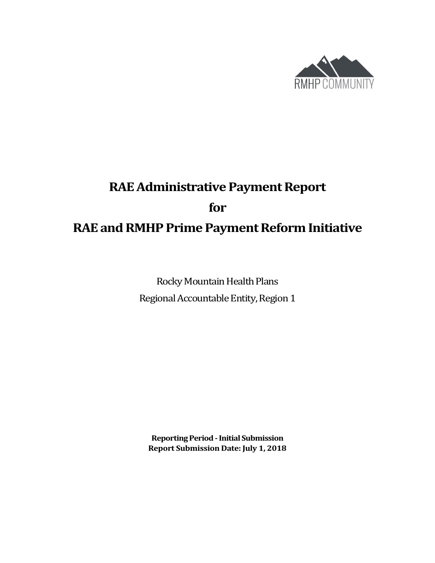

# **RAE Administrative Payment Report for RAE and RMHP Prime Payment Reform Initiative**

Rocky Mountain Health Plans Regional Accountable Entity, Region 1

**Reporting Period -Initial Submission Report Submission Date: July 1, 2018**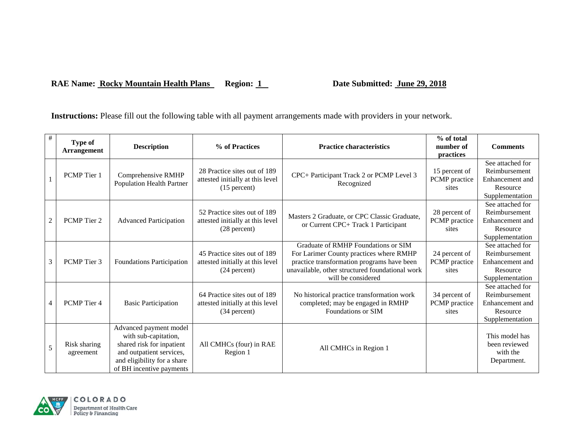#### RAE Name: **Rocky Mountain Health Plans** Region: 1 Date Submitted: **June 29, 2018**

**Instructions:** Please fill out the following table with all payment arrangements made with providers in your network.

| #              | Type of<br><b>Arrangement</b> | <b>Description</b>                                                                                                                                                 | % of Practices                                                                     | <b>Practice characteristics</b>                                                                                                                                                                       | % of total<br>number of<br>practices    | <b>Comments</b>                                                                     |
|----------------|-------------------------------|--------------------------------------------------------------------------------------------------------------------------------------------------------------------|------------------------------------------------------------------------------------|-------------------------------------------------------------------------------------------------------------------------------------------------------------------------------------------------------|-----------------------------------------|-------------------------------------------------------------------------------------|
|                | PCMP Tier 1                   | Comprehensive RMHP<br><b>Population Health Partner</b>                                                                                                             | 28 Practice sites out of 189<br>attested initially at this level<br>$(15$ percent) | CPC+ Participant Track 2 or PCMP Level 3<br>Recognized                                                                                                                                                | 15 percent of<br>PCMP practice<br>sites | See attached for<br>Reimbursement<br>Enhancement and<br>Resource<br>Supplementation |
| $\overline{c}$ | PCMP Tier 2                   | <b>Advanced Participation</b>                                                                                                                                      | 52 Practice sites out of 189<br>attested initially at this level<br>(28 percent)   | Masters 2 Graduate, or CPC Classic Graduate,<br>or Current CPC+ Track 1 Participant                                                                                                                   | 28 percent of<br>PCMP practice<br>sites | See attached for<br>Reimbursement<br>Enhancement and<br>Resource<br>Supplementation |
| 3              | PCMP Tier 3                   | Foundations Participation                                                                                                                                          | 45 Practice sites out of 189<br>attested initially at this level<br>$(24$ percent) | Graduate of RMHP Foundations or SIM<br>For Larimer County practices where RMHP<br>practice transformation programs have been<br>unavailable, other structured foundational work<br>will be considered | 24 percent of<br>PCMP practice<br>sites | See attached for<br>Reimbursement<br>Enhancement and<br>Resource<br>Supplementation |
| 4              | PCMP Tier 4                   | <b>Basic Participation</b>                                                                                                                                         | 64 Practice sites out of 189<br>attested initially at this level<br>(34 percent)   | No historical practice transformation work<br>completed; may be engaged in RMHP<br>Foundations or SIM                                                                                                 | 34 percent of<br>PCMP practice<br>sites | See attached for<br>Reimbursement<br>Enhancement and<br>Resource<br>Supplementation |
| 5              | Risk sharing<br>agreement     | Advanced payment model<br>with sub-capitation,<br>shared risk for inpatient<br>and outpatient services,<br>and eligibility for a share<br>of BH incentive payments | All CMHCs (four) in RAE<br>Region 1                                                | All CMHCs in Region 1                                                                                                                                                                                 |                                         | This model has<br>been reviewed<br>with the<br>Department.                          |

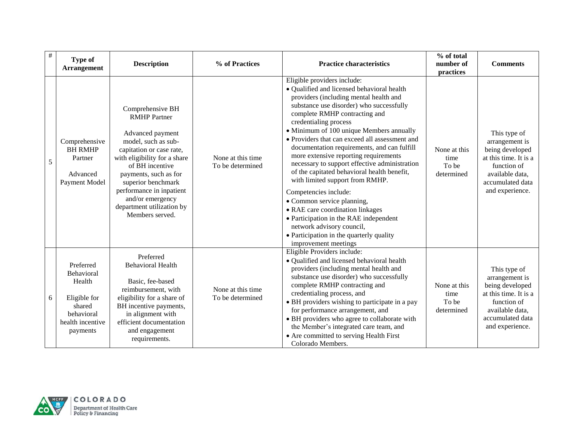| $\#$ | <b>Type of</b><br><b>Arrangement</b>                                                                      | <b>Description</b>                                                                                                                                                                                                                                                                                               | % of Practices                        | <b>Practice characteristics</b>                                                                                                                                                                                                                                                                                                                                                                                                                                                                                                                                                                                                                                                                                                                                                          | % of total<br>number of<br>practices        | <b>Comments</b>                                                                                                                                     |
|------|-----------------------------------------------------------------------------------------------------------|------------------------------------------------------------------------------------------------------------------------------------------------------------------------------------------------------------------------------------------------------------------------------------------------------------------|---------------------------------------|------------------------------------------------------------------------------------------------------------------------------------------------------------------------------------------------------------------------------------------------------------------------------------------------------------------------------------------------------------------------------------------------------------------------------------------------------------------------------------------------------------------------------------------------------------------------------------------------------------------------------------------------------------------------------------------------------------------------------------------------------------------------------------------|---------------------------------------------|-----------------------------------------------------------------------------------------------------------------------------------------------------|
| 5    | Comprehensive<br><b>BH RMHP</b><br>Partner<br>Advanced<br>Payment Model                                   | Comprehensive BH<br><b>RMHP</b> Partner<br>Advanced payment<br>model, such as sub-<br>capitation or case rate,<br>with eligibility for a share<br>of BH incentive<br>payments, such as for<br>superior benchmark<br>performance in inpatient<br>and/or emergency<br>department utilization by<br>Members served. | None at this time<br>To be determined | Eligible providers include:<br>• Qualified and licensed behavioral health<br>providers (including mental health and<br>substance use disorder) who successfully<br>complete RMHP contracting and<br>credentialing process<br>• Minimum of 100 unique Members annually<br>• Providers that can exceed all assessment and<br>documentation requirements, and can fulfill<br>more extensive reporting requirements<br>necessary to support effective administration<br>of the capitated behavioral health benefit,<br>with limited support from RMHP.<br>Competencies include:<br>• Common service planning,<br>• RAE care coordination linkages<br>• Participation in the RAE independent<br>network advisory council,<br>• Participation in the quarterly quality<br>improvement meetings | None at this<br>time<br>To be<br>determined | This type of<br>arrangement is<br>being developed<br>at this time. It is a<br>function of<br>available data,<br>accumulated data<br>and experience. |
| 6    | Preferred<br>Behavioral<br>Health<br>Eligible for<br>shared<br>behavioral<br>health incentive<br>payments | Preferred<br><b>Behavioral Health</b><br>Basic, fee-based<br>reimbursement, with<br>eligibility for a share of<br>BH incentive payments,<br>in alignment with<br>efficient documentation<br>and engagement<br>requirements.                                                                                      | None at this time<br>To be determined | Eligible Providers include:<br>• Qualified and licensed behavioral health<br>providers (including mental health and<br>substance use disorder) who successfully<br>complete RMHP contracting and<br>credentialing process, and<br>• BH providers wishing to participate in a pay<br>for performance arrangement, and<br>• BH providers who agree to collaborate with<br>the Member's integrated care team, and<br>• Are committed to serving Health First<br>Colorado Members.                                                                                                                                                                                                                                                                                                           | None at this<br>time<br>To be<br>determined | This type of<br>arrangement is<br>being developed<br>at this time. It is a<br>function of<br>available data,<br>accumulated data<br>and experience. |

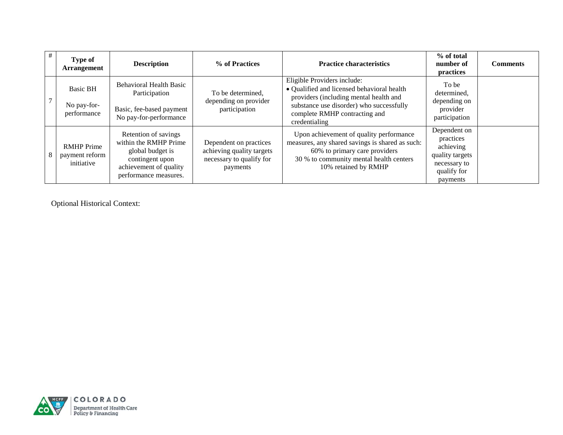| # | Type of<br><b>Arrangement</b>                     | <b>Description</b>                                                                                                                      | % of Practices                                                                              | <b>Practice characteristics</b>                                                                                                                                                                                   | % of total<br>number of<br>practices                                                                 | <b>Comments</b> |
|---|---------------------------------------------------|-----------------------------------------------------------------------------------------------------------------------------------------|---------------------------------------------------------------------------------------------|-------------------------------------------------------------------------------------------------------------------------------------------------------------------------------------------------------------------|------------------------------------------------------------------------------------------------------|-----------------|
|   | <b>Basic BH</b><br>No pay-for-<br>performance     | <b>Behavioral Health Basic</b><br>Participation<br>Basic, fee-based payment<br>No pay-for-performance                                   | To be determined,<br>depending on provider<br>participation                                 | Eligible Providers include:<br>• Qualified and licensed behavioral health<br>providers (including mental health and<br>substance use disorder) who successfully<br>complete RMHP contracting and<br>credentialing | To be<br>determined,<br>depending on<br>provider<br>participation                                    |                 |
|   | <b>RMHP</b> Prime<br>payment reform<br>initiative | Retention of savings<br>within the RMHP Prime<br>global budget is<br>contingent upon<br>achievement of quality<br>performance measures. | Dependent on practices<br>achieving quality targets<br>necessary to qualify for<br>payments | Upon achievement of quality performance<br>measures, any shared savings is shared as such:<br>60% to primary care providers<br>30 % to community mental health centers<br>10% retained by RMHP                    | Dependent on<br>practices<br>achieving<br>quality targets<br>necessary to<br>qualify for<br>payments |                 |

Optional Historical Context:

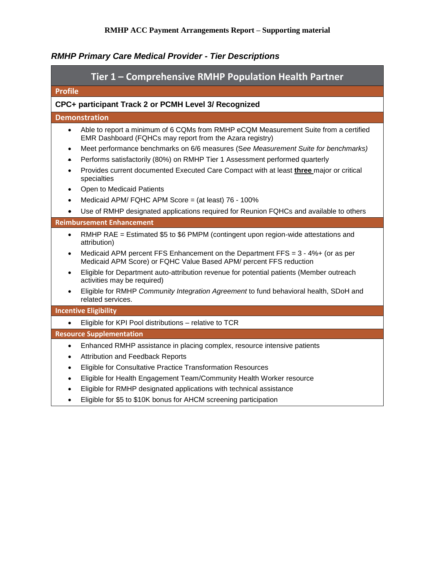|                                                                    | Tier 1 - Comprehensive RMHP Population Health Partner                                                                                                     |  |  |  |  |
|--------------------------------------------------------------------|-----------------------------------------------------------------------------------------------------------------------------------------------------------|--|--|--|--|
| <b>Profile</b>                                                     |                                                                                                                                                           |  |  |  |  |
| CPC+ participant Track 2 or PCMH Level 3/ Recognized               |                                                                                                                                                           |  |  |  |  |
| <b>Demonstration</b>                                               |                                                                                                                                                           |  |  |  |  |
| $\bullet$                                                          | Able to report a minimum of 6 CQMs from RMHP eCQM Measurement Suite from a certified<br>EMR Dashboard (FQHCs may report from the Azara registry)          |  |  |  |  |
| $\bullet$                                                          | Meet performance benchmarks on 6/6 measures (See Measurement Suite for benchmarks)                                                                        |  |  |  |  |
| ۰                                                                  | Performs satisfactorily (80%) on RMHP Tier 1 Assessment performed quarterly                                                                               |  |  |  |  |
| specialties                                                        | Provides current documented Executed Care Compact with at least three major or critical                                                                   |  |  |  |  |
| Open to Medicaid Patients                                          |                                                                                                                                                           |  |  |  |  |
|                                                                    | Medicaid APM/ FQHC APM Score = (at least) 76 - 100%                                                                                                       |  |  |  |  |
|                                                                    | Use of RMHP designated applications required for Reunion FQHCs and available to others                                                                    |  |  |  |  |
| <b>Reimbursement Enhancement</b>                                   |                                                                                                                                                           |  |  |  |  |
| $\bullet$<br>attribution)                                          | RMHP RAE = Estimated \$5 to \$6 PMPM (contingent upon region-wide attestations and                                                                        |  |  |  |  |
|                                                                    | Medicaid APM percent FFS Enhancement on the Department FFS = $3 - 4\% +$ (or as per<br>Medicaid APM Score) or FQHC Value Based APM/ percent FFS reduction |  |  |  |  |
| activities may be required)                                        | Eligible for Department auto-attribution revenue for potential patients (Member outreach                                                                  |  |  |  |  |
| related services.                                                  | Eligible for RMHP Community Integration Agreement to fund behavioral health, SDoH and                                                                     |  |  |  |  |
| <b>Incentive Eligibility</b>                                       |                                                                                                                                                           |  |  |  |  |
| Eligible for KPI Pool distributions - relative to TCR<br>$\bullet$ |                                                                                                                                                           |  |  |  |  |
| <b>Resource Supplementation</b>                                    |                                                                                                                                                           |  |  |  |  |
| $\bullet$                                                          | Enhanced RMHP assistance in placing complex, resource intensive patients                                                                                  |  |  |  |  |
| <b>Attribution and Feedback Reports</b><br>$\bullet$               |                                                                                                                                                           |  |  |  |  |
| $\bullet$                                                          | Eligible for Consultative Practice Transformation Resources                                                                                               |  |  |  |  |
| $\bullet$                                                          | Eligible for Health Engagement Team/Community Health Worker resource                                                                                      |  |  |  |  |
| $\bullet$                                                          | Eligible for RMHP designated applications with technical assistance                                                                                       |  |  |  |  |
|                                                                    | Eligible for \$5 to \$10K bonus for AHCM screening participation                                                                                          |  |  |  |  |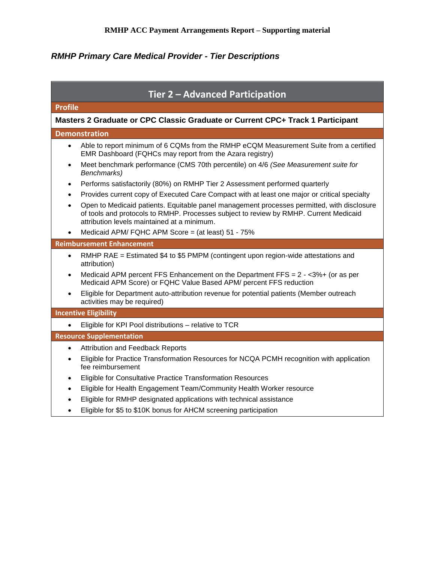| Tier 2 - Advanced Participation                                                |                                                                                                                                                                                                                                    |  |  |  |  |  |
|--------------------------------------------------------------------------------|------------------------------------------------------------------------------------------------------------------------------------------------------------------------------------------------------------------------------------|--|--|--|--|--|
| <b>Profile</b>                                                                 |                                                                                                                                                                                                                                    |  |  |  |  |  |
| Masters 2 Graduate or CPC Classic Graduate or Current CPC+ Track 1 Participant |                                                                                                                                                                                                                                    |  |  |  |  |  |
|                                                                                | <b>Demonstration</b>                                                                                                                                                                                                               |  |  |  |  |  |
| $\bullet$                                                                      | Able to report minimum of 6 CQMs from the RMHP eCQM Measurement Suite from a certified<br>EMR Dashboard (FQHCs may report from the Azara registry)                                                                                 |  |  |  |  |  |
| $\bullet$                                                                      | Meet benchmark performance (CMS 70th percentile) on 4/6 (See Measurement suite for<br>Benchmarks)                                                                                                                                  |  |  |  |  |  |
| $\bullet$                                                                      | Performs satisfactorily (80%) on RMHP Tier 2 Assessment performed quarterly                                                                                                                                                        |  |  |  |  |  |
| $\bullet$                                                                      | Provides current copy of Executed Care Compact with at least one major or critical specialty                                                                                                                                       |  |  |  |  |  |
|                                                                                | Open to Medicaid patients. Equitable panel management processes permitted, with disclosure<br>of tools and protocols to RMHP. Processes subject to review by RMHP. Current Medicaid<br>attribution levels maintained at a minimum. |  |  |  |  |  |
|                                                                                | Medicaid APM/ FQHC APM Score = (at least) 51 - 75%                                                                                                                                                                                 |  |  |  |  |  |
|                                                                                | <b>Reimbursement Enhancement</b>                                                                                                                                                                                                   |  |  |  |  |  |
| $\bullet$                                                                      | RMHP RAE = Estimated \$4 to \$5 PMPM (contingent upon region-wide attestations and<br>attribution)                                                                                                                                 |  |  |  |  |  |
| $\bullet$                                                                      | Medicaid APM percent FFS Enhancement on the Department FFS = $2 - 3\% +$ (or as per<br>Medicaid APM Score) or FQHC Value Based APM/ percent FFS reduction                                                                          |  |  |  |  |  |
| $\bullet$                                                                      | Eligible for Department auto-attribution revenue for potential patients (Member outreach<br>activities may be required)                                                                                                            |  |  |  |  |  |
|                                                                                | <b>Incentive Eligibility</b>                                                                                                                                                                                                       |  |  |  |  |  |
| $\bullet$                                                                      | Eligible for KPI Pool distributions - relative to TCR                                                                                                                                                                              |  |  |  |  |  |
|                                                                                | <b>Resource Supplementation</b>                                                                                                                                                                                                    |  |  |  |  |  |
| $\bullet$                                                                      | <b>Attribution and Feedback Reports</b>                                                                                                                                                                                            |  |  |  |  |  |
|                                                                                | Eligible for Practice Transformation Resources for NCQA PCMH recognition with application<br>fee reimbursement                                                                                                                     |  |  |  |  |  |
|                                                                                | Eligible for Consultative Practice Transformation Resources                                                                                                                                                                        |  |  |  |  |  |
| ٠                                                                              | Eligible for Health Engagement Team/Community Health Worker resource                                                                                                                                                               |  |  |  |  |  |
| $\bullet$                                                                      | Eligible for RMHP designated applications with technical assistance                                                                                                                                                                |  |  |  |  |  |
|                                                                                | Eligible for \$5 to \$10K bonus for AHCM screening participation                                                                                                                                                                   |  |  |  |  |  |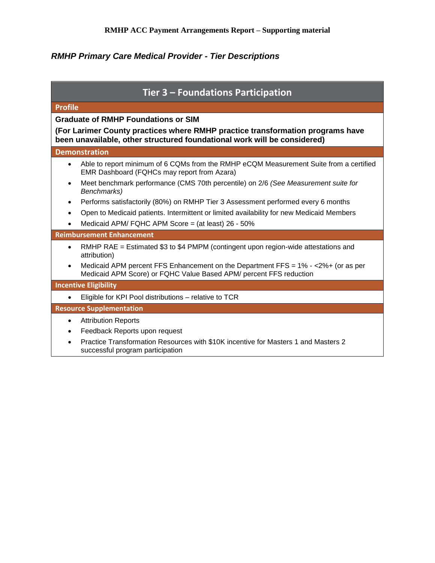| Tier 3 - Foundations Participation                                                                                                                             |  |  |  |  |  |
|----------------------------------------------------------------------------------------------------------------------------------------------------------------|--|--|--|--|--|
| <b>Profile</b>                                                                                                                                                 |  |  |  |  |  |
| <b>Graduate of RMHP Foundations or SIM</b>                                                                                                                     |  |  |  |  |  |
| (For Larimer County practices where RMHP practice transformation programs have<br>been unavailable, other structured foundational work will be considered)     |  |  |  |  |  |
| <b>Demonstration</b>                                                                                                                                           |  |  |  |  |  |
| Able to report minimum of 6 CQMs from the RMHP eCQM Measurement Suite from a certified<br>$\bullet$<br>EMR Dashboard (FQHCs may report from Azara)             |  |  |  |  |  |
| Meet benchmark performance (CMS 70th percentile) on 2/6 (See Measurement suite for<br>$\bullet$<br>Benchmarks)                                                 |  |  |  |  |  |
| Performs satisfactorily (80%) on RMHP Tier 3 Assessment performed every 6 months<br>$\bullet$                                                                  |  |  |  |  |  |
| Open to Medicaid patients. Intermittent or limited availability for new Medicaid Members<br>$\bullet$                                                          |  |  |  |  |  |
| Medicaid APM/ FQHC APM Score = (at least) 26 - 50%                                                                                                             |  |  |  |  |  |
| <b>Reimbursement Enhancement</b>                                                                                                                               |  |  |  |  |  |
| RMHP RAE = Estimated \$3 to \$4 PMPM (contingent upon region-wide attestations and<br>$\bullet$<br>attribution)                                                |  |  |  |  |  |
| Medicaid APM percent FFS Enhancement on the Department FFS = $1\% - 2\% + (or as per\bulletMedicaid APM Score) or FQHC Value Based APM/ percent FFS reduction$ |  |  |  |  |  |
| <b>Incentive Eligibility</b>                                                                                                                                   |  |  |  |  |  |
| Eligible for KPI Pool distributions - relative to TCR                                                                                                          |  |  |  |  |  |
| <b>Resource Supplementation</b>                                                                                                                                |  |  |  |  |  |
| <b>Attribution Reports</b><br>$\bullet$                                                                                                                        |  |  |  |  |  |
| Feedback Reports upon request                                                                                                                                  |  |  |  |  |  |
| Practice Transformation Resources with \$10K incentive for Masters 1 and Masters 2<br>successful program participation                                         |  |  |  |  |  |